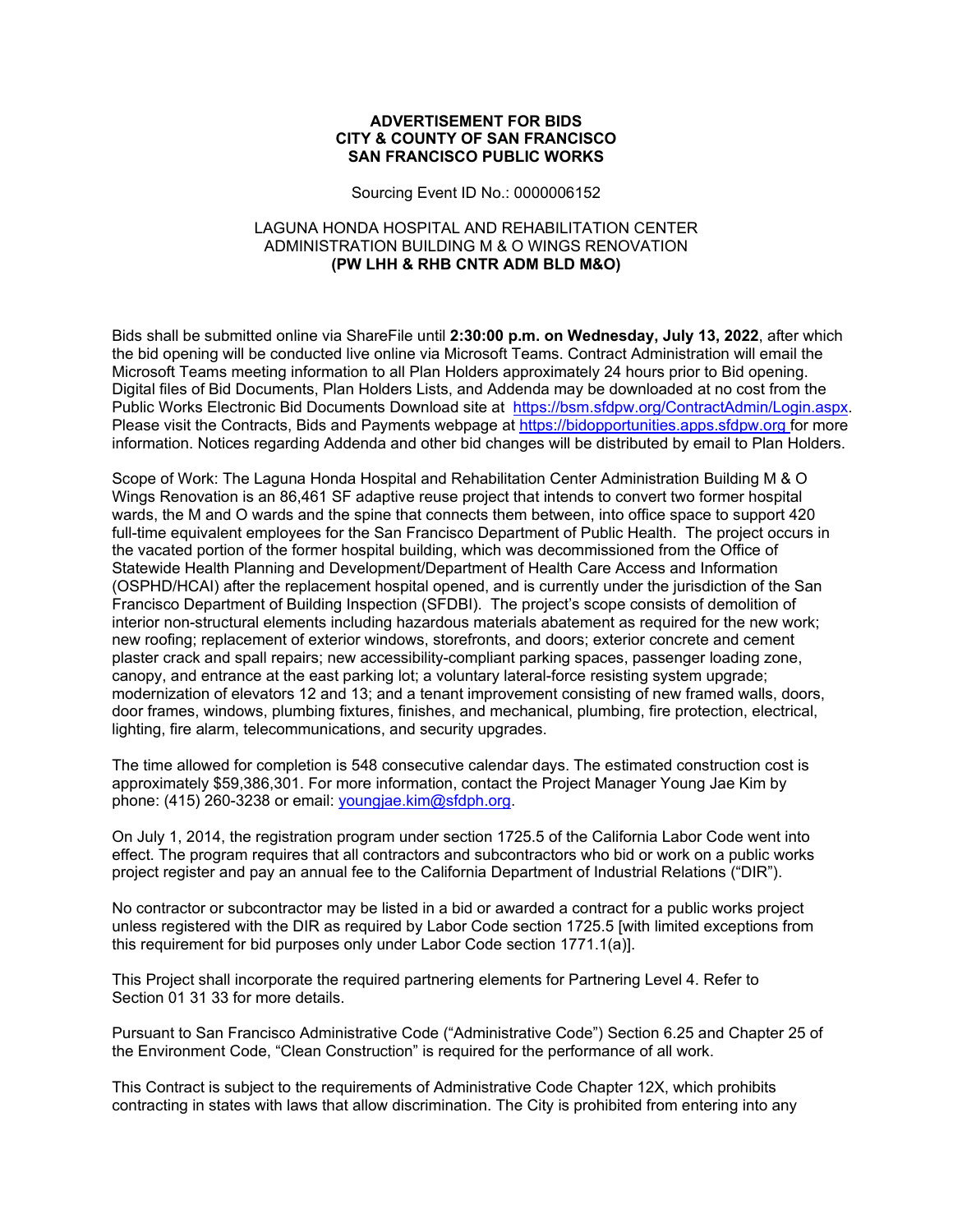## **ADVERTISEMENT FOR BIDS CITY & COUNTY OF SAN FRANCISCO SAN FRANCISCO PUBLIC WORKS**

Sourcing Event ID No.: 0000006152

## LAGUNA HONDA HOSPITAL AND REHABILITATION CENTER ADMINISTRATION BUILDING M & O WINGS RENOVATION **(PW LHH & RHB CNTR ADM BLD M&O)**

Bids shall be submitted online via ShareFile until **2:30:00 p.m. on Wednesday, July 13, 2022**, after which the bid opening will be conducted live online via Microsoft Teams. Contract Administration will email the Microsoft Teams meeting information to all Plan Holders approximately 24 hours prior to Bid opening. Digital files of Bid Documents, Plan Holders Lists, and Addenda may be downloaded at no cost from the Public Works Electronic Bid Documents Download site at https://bsm.sfdpw.org/ContractAdmin/Login.aspx. Please visit the Contracts, Bids and Payments webpage at https://bidopportunities.apps.sfdpw.org for more information. Notices regarding Addenda and other bid changes will be distributed by email to Plan Holders.

Scope of Work: The Laguna Honda Hospital and Rehabilitation Center Administration Building M & O Wings Renovation is an 86,461 SF adaptive reuse project that intends to convert two former hospital wards, the M and O wards and the spine that connects them between, into office space to support 420 full-time equivalent employees for the San Francisco Department of Public Health. The project occurs in the vacated portion of the former hospital building, which was decommissioned from the Office of Statewide Health Planning and Development/Department of Health Care Access and Information (OSPHD/HCAI) after the replacement hospital opened, and is currently under the jurisdiction of the San Francisco Department of Building Inspection (SFDBI). The project's scope consists of demolition of interior non-structural elements including hazardous materials abatement as required for the new work; new roofing; replacement of exterior windows, storefronts, and doors; exterior concrete and cement plaster crack and spall repairs; new accessibility-compliant parking spaces, passenger loading zone, canopy, and entrance at the east parking lot; a voluntary lateral-force resisting system upgrade; modernization of elevators 12 and 13; and a tenant improvement consisting of new framed walls, doors, door frames, windows, plumbing fixtures, finishes, and mechanical, plumbing, fire protection, electrical, lighting, fire alarm, telecommunications, and security upgrades.

The time allowed for completion is 548 consecutive calendar days. The estimated construction cost is approximately \$59,386,301. For more information, contact the Project Manager Young Jae Kim by phone: (415) 260-3238 or email: youngjae.kim@sfdph.org.

On July 1, 2014, the registration program under section 1725.5 of the California Labor Code went into effect. The program requires that all contractors and subcontractors who bid or work on a public works project register and pay an annual fee to the California Department of Industrial Relations ("DIR").

No contractor or subcontractor may be listed in a bid or awarded a contract for a public works project unless registered with the DIR as required by Labor Code section 1725.5 [with limited exceptions from this requirement for bid purposes only under Labor Code section 1771.1(a)].

This Project shall incorporate the required partnering elements for Partnering Level 4. Refer to Section 01 31 33 for more details.

Pursuant to San Francisco Administrative Code ("Administrative Code") Section 6.25 and Chapter 25 of the Environment Code, "Clean Construction" is required for the performance of all work.

This Contract is subject to the requirements of Administrative Code Chapter 12X, which prohibits contracting in states with laws that allow discrimination. The City is prohibited from entering into any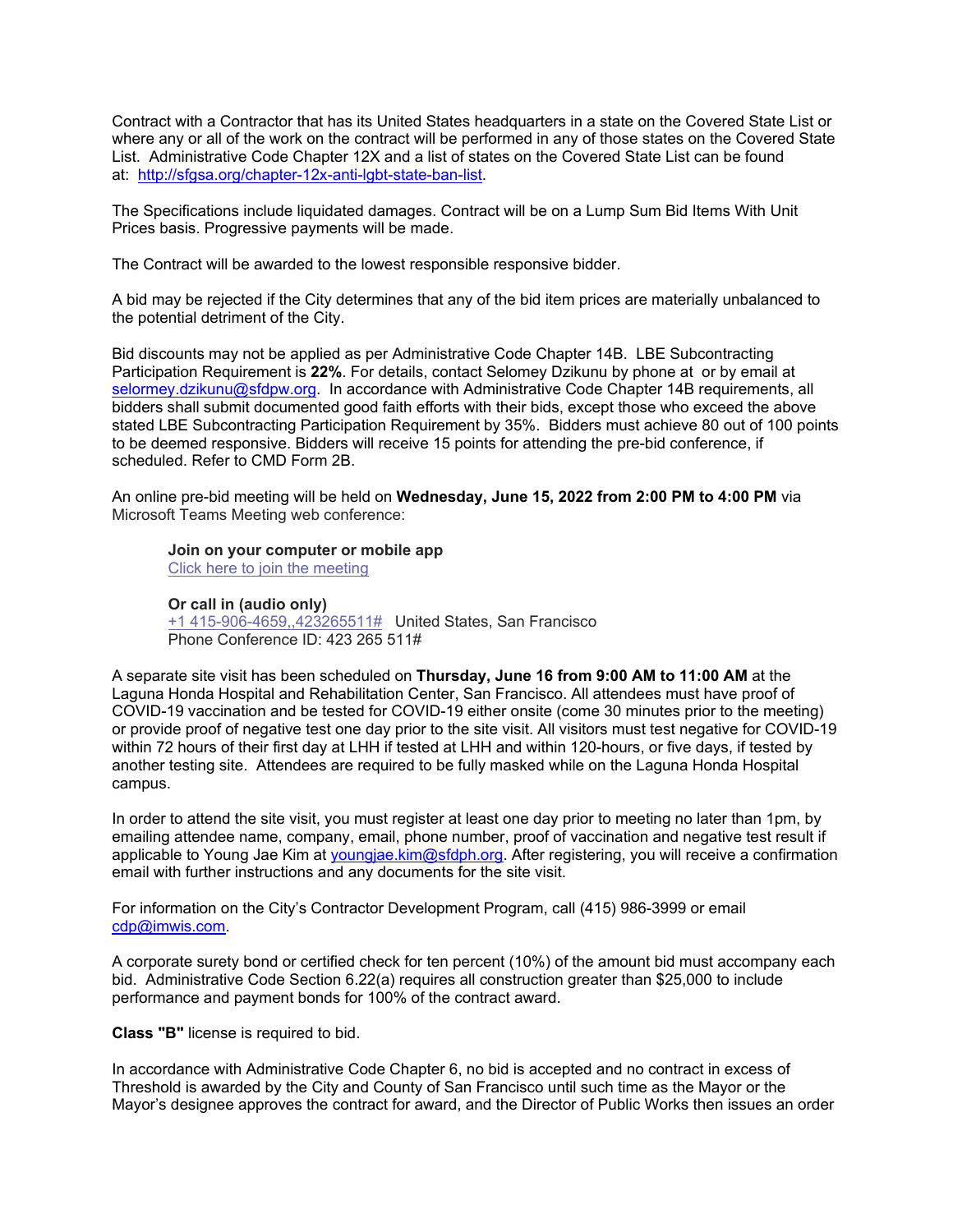Contract with a Contractor that has its United States headquarters in a state on the Covered State List or where any or all of the work on the contract will be performed in any of those states on the Covered State List. Administrative Code Chapter 12X and a list of states on the Covered State List can be found at: http://sfgsa.org/chapter-12x-anti-lgbt-state-ban-list.

The Specifications include liquidated damages. Contract will be on a Lump Sum Bid Items With Unit Prices basis. Progressive payments will be made.

The Contract will be awarded to the lowest responsible responsive bidder.

A bid may be rejected if the City determines that any of the bid item prices are materially unbalanced to the potential detriment of the City.

Bid discounts may not be applied as per Administrative Code Chapter 14B. LBE Subcontracting Participation Requirement is **22%**. For details, contact Selomey Dzikunu by phone at or by email at selormey.dzikunu@sfdpw.org. In accordance with Administrative Code Chapter 14B requirements, all bidders shall submit documented good faith efforts with their bids, except those who exceed the above stated LBE Subcontracting Participation Requirement by 35%. Bidders must achieve 80 out of 100 points to be deemed responsive. Bidders will receive 15 points for attending the pre-bid conference, if scheduled. Refer to CMD Form 2B.

An online pre-bid meeting will be held on **Wednesday, June 15, 2022 from 2:00 PM to 4:00 PM** via Microsoft Teams Meeting web conference:

**Join on your computer or mobile app** 

Click here to join the meeting

## **Or call in (audio only)**

+1 415-906-4659,,423265511# United States, San Francisco Phone Conference ID: 423 265 511#

A separate site visit has been scheduled on **Thursday, June 16 from 9:00 AM to 11:00 AM** at the Laguna Honda Hospital and Rehabilitation Center, San Francisco. All attendees must have proof of COVID-19 vaccination and be tested for COVID-19 either onsite (come 30 minutes prior to the meeting) or provide proof of negative test one day prior to the site visit. All visitors must test negative for COVID-19 within 72 hours of their first day at LHH if tested at LHH and within 120-hours, or five days, if tested by another testing site. Attendees are required to be fully masked while on the Laguna Honda Hospital campus.

In order to attend the site visit, you must register at least one day prior to meeting no later than 1pm, by emailing attendee name, company, email, phone number, proof of vaccination and negative test result if applicable to Young Jae Kim at youngjae.kim@sfdph.org. After registering, you will receive a confirmation email with further instructions and any documents for the site visit.

For information on the City's Contractor Development Program, call (415) 986-3999 or email cdp@imwis.com.

A corporate surety bond or certified check for ten percent (10%) of the amount bid must accompany each bid. Administrative Code Section 6.22(a) requires all construction greater than \$25,000 to include performance and payment bonds for 100% of the contract award.

**Class "B"** license is required to bid.

In accordance with Administrative Code Chapter 6, no bid is accepted and no contract in excess of Threshold is awarded by the City and County of San Francisco until such time as the Mayor or the Mayor's designee approves the contract for award, and the Director of Public Works then issues an order